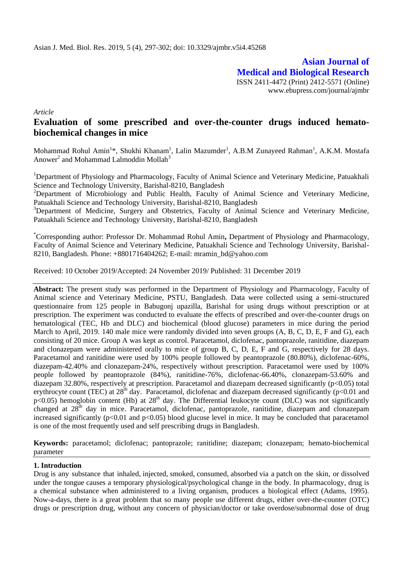**Asian Journal of Medical and Biological Research** ISSN 2411-4472 (Print) 2412-5571 (Online) www.ebupress.com/journal/ajmbr

*Article*

# **Evaluation of some prescribed and over-the-counter drugs induced hematobiochemical changes in mice**

Mohammad Rohul Amin<sup>1</sup>\*, Shukhi Khanam<sup>1</sup>, Lalin Mazumder<sup>1</sup>, A.B.M Zunayeed Rahman<sup>1</sup>, A.K.M. Mostafa Anower<sup>2</sup> and Mohammad Lalmoddin Mollah<sup>3</sup>

<sup>1</sup>Department of Physiology and Pharmacology, Faculty of Animal Science and Veterinary Medicine, Patuakhali Science and Technology University, Barishal-8210, Bangladesh

<sup>2</sup>Department of Microbiology and Public Health, Faculty of Animal Science and Veterinary Medicine, Patuakhali Science and Technology University, Barishal-8210, Bangladesh

<sup>3</sup>Department of Medicine, Surgery and Obstetrics, Faculty of Animal Science and Veterinary Medicine, Patuakhali Science and Technology University, Barishal-8210, Bangladesh

\*Corresponding author: Professor Dr. Mohammad Rohul Amin**,** Department of Physiology and Pharmacology, Faculty of Animal Science and Veterinary Medicine, Patuakhali Science and Technology University, Barishal-8210, Bangladesh. Phone: +8801716404262; E-mail: [mramin\\_bd@yahoo.com](mailto:mramin_bd@yahoo.com)

Received: 10 October 2019/Accepted: 24 November 2019/ Published: 31 December 2019

**Abstract:** The present study was performed in the Department of Physiology and Pharmacology, Faculty of Animal science and Veterinary Medicine, PSTU, Bangladesh. Data were collected using a semi-structured questionnaire from 125 people in Babugonj upazilla, Barishal for using drugs without prescription or at prescription. The experiment was conducted to evaluate the effects of prescribed and over-the-counter drugs on hematological (TEC, Hb and DLC) and biochemical (blood glucose) parameters in mice during the period March to April, 2019. 140 male mice were randomly divided into seven groups  $(A, B, C, D, E, F, A)$  G), each consisting of 20 mice. Group A was kept as control. Paracetamol, diclofenac, pantoprazole, ranitidine, diazepam and clonazepam were administered orally to mice of group B, C, D, E, F and G, respectively for 28 days. Paracetamol and ranitidine were used by 100% people followed by peantoprazole (80.80%), diclofenac-60%, diazepam-42.40% and clonazepam-24%, respectively without prescription. Paracetamol were used by 100% people followed by peantoprazole (84%), ranitidine-76%, diclofenac-66.40%, clonazepam-53.60% and diazepam 32.80%, respectively at prescription. Paracetamol and diazepam decreased significantly (p<0.05) total erythrocyte count (TEC) at 28<sup>th</sup> day. Paracetamol, diclofenac and diazepam decreased significantly (p<0.01 and  $p<0.05$ ) hemoglobin content (Hb) at  $28<sup>th</sup>$  day. The Differential leukocyte count (DLC) was not significantly changed at 28<sup>th</sup> day in mice. Paracetamol, diclofenac, pantoprazole, ranitidine, diazepam and clonazepam increased significantly  $(p<0.01$  and  $p<0.05)$  blood glucose level in mice. It may be concluded that paracetamol is one of the most frequently used and self prescribing drugs in Bangladesh.

**Keywords:** paracetamol; diclofenac; pantoprazole; ranitidine; diazepam; clonazepam; hemato-biochemical parameter

# **1. Introduction**

Drug is any substance that [inhaled,](https://en.wikipedia.org/wiki/Insufflation_(medicine)) [injected,](https://en.wikipedia.org/wiki/Drug_injection) [smoked,](https://en.wikipedia.org/wiki/Smoking) [consumed,](https://en.wikipedia.org/wiki/Ingestion) [absorbed](https://en.wikipedia.org/wiki/Absorption_(skin)) via a [patch](https://en.wikipedia.org/wiki/Dermal_patch) on the skin, or [dissolved](https://en.wikipedia.org/wiki/Sublingual_administration)  [under the tongue](https://en.wikipedia.org/wiki/Sublingual_administration) causes a temporary physiological/psychological change in the body. In [pharmacology,](https://en.wikipedia.org/wiki/Pharmacology) drug is a chemical substance when administered to a living organism, produces a biological effect (Adams, 1995). Now-a-days, there is a great problem that so many people use different drugs, either over-the-counter (OTC) drugs or prescription drug, without any concern of physician/doctor or take overdose/subnormal dose of drug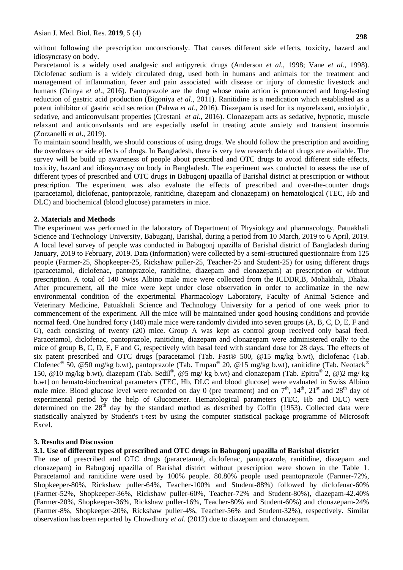without following the prescription unconsciously. That causes different side effects, toxicity, hazard and idiosyncrasy on body.

Paracetamol is a widely used analgesic and antipyretic drugs (Anderson *et al.,* 1998; Vane *et al.,* 1998). Diclofenac sodium is a widely circulated drug, used both in humans and animals for the treatment and management of inflammation, fever and pain associated with disease or injury of domestic livestock and humans (Orinya *et al*., 2016). Pantoprazole are the drug whose main action is pronounced and long-lasting reduction of gastric acid production (Bigoniya *et al*., 2011). Ranitidine is a medication which established as a potent inhibitor of gastric acid secretion (Pahwa *et al*., 2016). Diazepam is used for its myorelaxant, anxiolytic, sedative, and anticonvulsant properties [\(Crestani](https://www.ncbi.nlm.nih.gov/pubmed/?term=Crestani%20F%5BAuthor%5D&cauthor=true&cauthor_uid=11179437) *et al*., 2016). Clonazepam acts as sedative, hypnotic, muscle relaxant and anticonvulsants and are especially useful in treating acute anxiety and transient insomnia (Zorzanelli *et al*., 2019).

To maintain sound health, we should conscious of using drugs. We should follow the prescription and avoiding the overdoses or side effects of drugs. In Bangladesh, there is very few research data of drugs are available. The survey will be build up awareness of people about prescribed and OTC drugs to avoid different side effects, toxicity, hazard and idiosyncrasy on body in Bangladesh. The experiment was conducted to assess the use of different types of prescribed and OTC drugs in Babugonj upazilla of Barishal district at prescription or without prescription. The experiment was also evaluate the effects of prescribed and over-the-counter drugs (paracetamol, diclofenac, pantoprazole, ranitidine, diazepam and clonazepam) on hematological (TEC, Hb and DLC) and biochemical (blood glucose) parameters in mice.

### **2. Materials and Methods**

The experiment was performed in the laboratory of Department of Physiology and pharmacology, Patuakhali Science and Technology University, Babuganj, Barishal, during a period from 10 March, 2019 to 6 April, 2019. A local level survey of people was conducted in Babugonj upazilla of Barishal district of Bangladesh during January, 2019 to February, 2019. Data (information) were collected by a semi-structured questionnaire from 125 people (Farmer-25, Shopkeeper-25, Rickshaw puller-25, Teacher-25 and Student-25) for using different drugs (paracetamol, diclofenac, pantoprazole, ranitidine, diazepam and clonazepam) at prescription or without prescription. A total of 140 Swiss Albino male mice were collected from the ICDDR,B, Mohakhali, Dhaka. After procurement, all the mice were kept under close observation in order to acclimatize in the new environmental condition of the experimental Pharmacology Laboratory, Faculty of Animal Science and Veterinary Medicine, Patuakhali Science and Technology University for a period of one week prior to commencement of the experiment. All the mice will be maintained under good housing conditions and provide normal feed. One hundred forty (140) male mice were randomly divided into seven groups (A, B, C, D, E, F and G), each consisting of twenty (20) mice. Group A was kept as control group received only basal feed. Paracetamol, diclofenac, pantoprazole, ranitidine, diazepam and clonazepam were administered orally to the mice of group B, C, D, E, F and G, respectively with basal feed with standard dose for 28 days. The effects of six patent prescribed and OTC drugs [paracetamol (Tab. Fast® 500, @15 mg/kg b.wt), diclofenac (Tab. Clofenec<sup>®</sup> 50, @50 mg/kg b.wt), pantoprazole (Tab. Trupan<sup>®</sup> 20, @15 mg/kg b.wt), ranitidine (Tab. Neotack<sup>®</sup> 150, @10 mg/kg b.wt), diazepam (Tab. Sedil® , @5 mg/ kg b.wt) and clonazepam (Tab. Epitra® 2, @)2 mg/ kg b.wt] on hemato-biochemical parameters (TEC, Hb, DLC and blood glucose] were evaluated in Swiss Albino male mice. Blood glucose level were recorded on day 0 (pre treatment) and on  $7<sup>th</sup>$ ,  $14<sup>th</sup>$ ,  $21<sup>st</sup>$  and  $28<sup>th</sup>$  day of experimental period by the help of Glucometer. Hematological parameters (TEC, Hb and DLC) were determined on the  $28<sup>th</sup>$  day by the standard method as described by Coffin (1953). Collected data were statistically analyzed by Student's t-test by using the computer statistical package programme of Microsoft Excel.

# **3. Results and Discussion**

# **3.1. Use of different types of prescribed and OTC drugs in Babugonj upazilla of Barishal district**

The use of prescribed and OTC drugs (paracetamol, diclofenac, pantoprazole, ranitidine, diazepam and clonazepam) in Babugonj upazilla of Barishal district without prescription were shown in the Table 1. Paracetamol and ranitidine were used by 100% people. 80.80% people used peantoprazole (Farmer-72%, Shopkeeper-80%, Rickshaw puller-64%, Teacher-100% and Student-88%) followed by diclofenac-60% (Farmer-52%, Shopkeeper-36%, Rickshaw puller-60%, Teacher-72% and Student-80%), diazepam-42.40% (Farmer-20%, Shopkeeper-36%, Rickshaw puller-16%, Teacher-80% and Student-60%) and clonazepam-24% (Farmer-8%, Shopkeeper-20%, Rickshaw puller-4%, Teacher-56% and Student-32%), respectively. Similar observation has been reported by Chowdhury *et al*. (2012) due to diazepam and clonazepam.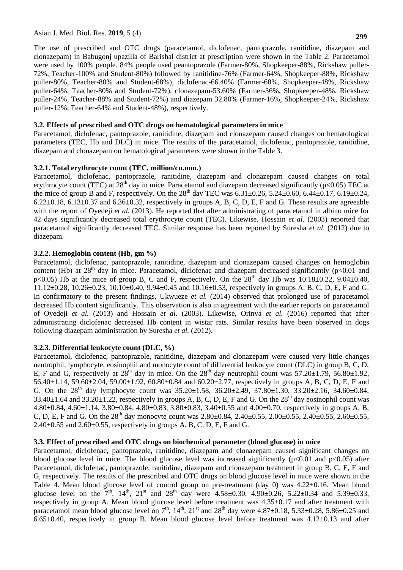### Asian J. Med. Biol. Res. **2019**, 5 (4)

The use of prescribed and OTC drugs (paracetamol, diclofenac, pantoprazole, ranitidine, diazepam and clonazepam) in Babugonj upazilla of Barishal district at prescription were shown in the Table 2. Paracetamol were used by 100% people. 84% people used peantoprazole (Farmer-80%, Shopkeeper-88%, Rickshaw puller-72%, Teacher-100% and Student-80%) followed by ranitidine-76% (Farmer-64%, Shopkeeper-88%, Rickshaw puller-80%, Teacher-80% and Student-68%), diclofenac-66.40% (Farmer-68%, Shopkeeper-48%, Rickshaw puller-64%, Teacher-80% and Student-72%), clonazepam-53.60% (Farmer-36%, Shopkeeper-48%, Rickshaw puller-24%, Teacher-88% and Student-72%) and diazepam 32.80% (Farmer-16%, Shopkeeper-24%, Rickshaw puller-12%, Teacher-64% and Student-48%), respectively.

# **3.2. Effects of prescribed and OTC drugs on hematological parameters in mice**

Paracetamol, diclofenac, pantoprazole, ranitidine, diazepam and clonazepam caused changes on hematological parameters (TEC, Hb and DLC) in mice. The results of the paracetamol, diclofenac, pantoprazole, ranitidine, diazepam and clonazepam on hematological parameters were shown in the Table 3.

# **3.2.1. Total erythrocyte count (TEC, million/cu.mm.)**

Paracetamol, diclofenac, pantoprazole, ranitidine, diazepam and clonazepam caused changes on total erythrocyte count (TEC) at  $28<sup>th</sup>$  day in mice. Paracetamol and diazepam decreased significantly (p<0.05) TEC at the mice of group B and F, respectively. On the  $28^{th}$  day TEC was  $6.31\pm0.26$ ,  $5.24\pm0.60$ ,  $6.44\pm0.17$ ,  $6.19\pm0.24$ ,  $6.22\pm0.18$ ,  $6.13\pm0.37$  and  $6.36\pm0.32$ , respectively in groups A, B, C, D, E, F and G. These results are agreeable with the report of Oyedeji *et al.* (2013). He reported that after administrating of paracetamol in albino mice for 42 days significantly decreased total erythrocyte count (TEC). Likewise, Hossain *et al.* (2003) reported that paracetamol significantly decreased TEC. Similar response has been reported by Suresha *et al.* (2012) due to diazepam.

# **3.2.2. Hemoglobin content (Hb, gm %)**

Paracetamol, diclofenac, pantoprazole, ranitidine, diazepam and clonazepam caused changes on hemoglobin content (Hb) at  $28<sup>th</sup>$  day in mice. Paracetamol, diclofenac and diazepam decreased significantly (p<0.01 and  $p<0.05$ ) Hb at the mice of group B, C and F, respectively. On the  $28<sup>th</sup>$  day Hb was  $10.18\pm0.22$ , 9.04 $\pm0.40$ ,  $11.12\pm0.28$ ,  $10.26\pm0.23$ ,  $10.10\pm0.40$ ,  $9.94\pm0.45$  and  $10.16\pm0.53$ , respectively in groups A, B, C, D, E, F and G. In confirmatory to the present findings, Ukwueze *et al.* (2014) observed that prolonged use of paracetamol decreased Hb content significantly. This observation is also in agreement with the earlier reports on paracetamol of Oyedeji *et al.* (2013) and Hossain *et al.* (2003). Likewise, Orinya *et al.* (2016) reported that after administrating diclofenac decreased Hb content in wistar rats. Similar results have been observed in dogs following diazepam administration by Suresha *et al.* (2012).

# **3.2.3. Differential leukocyte count (DLC, %)**

Paracetamol, diclofenac, pantoprazole, ranitidine, diazepam and clonazepam were caused very little changes neutrophil, lymphocyte, eosinophil and monocyte count of differential leukocyte count (DLC) in group B, C, D, E, F and G, respectively at  $28^{th}$  day in mice. On the  $28^{th}$  day neutrophil count was  $57.20 \pm 1.79$ ,  $56.80 \pm 1.92$ ,  $56.40\pm1.14$ ,  $59.60\pm2.04$ ,  $59.00\pm1.92$ ,  $60.80\pm0.84$  and  $60.20\pm2.77$ , respectively in groups A, B, C, D, E, F and G. On the  $28^{th}$  day lymphocyte count was  $35.20 \pm 1.58$ ,  $36.20 \pm 2.49$ ,  $37.80 \pm 1.30$ ,  $33.20 \pm 2.16$ ,  $34.60 \pm 0.84$ ,  $33.40\pm1.64$  and  $33.20\pm1.22$ , respectively in groups A, B, C, D, E, F and G. On the  $28<sup>th</sup>$  day eosinophil count was 4.80±0.84, 4.60±1.14, 3.80±0.84, 4.80±0.83, 3.80±0.83, 3.40±0.55 and 4.00±0.70, respectively in groups A, B, C, D, E, F and G. On the 28<sup>th</sup> day monocyte count was 2.80 $\pm$ 0.84, 2.40 $\pm$ 0.55, 2.00 $\pm$ 0.55, 2.40 $\pm$ 0.55, 2.60 $\pm$ 0.55,  $2.40\pm0.55$  and  $2.60\pm0.55$ , respectively in groups A, B, C, D, E, F and G.

# **3.3. Effect of prescribed and OTC drugs on biochemical parameter (blood glucose) in mice**

Paracetamol, diclofenac, pantoprazole, ranitidine, diazepam and clonazepam caused significant changes on blood glucose level in mice. The blood glucose level was increased significantly ( $p<0.01$  and  $p<0.05$ ) after Paracetamol, diclofenac, pantoprazole, ranitidine, diazepam and clonazepam treatment in group B, C, E, F and G, respectively. The results of the prescribed and OTC drugs on blood glucose level in mice were shown in the Table 4. Mean blood glucose level of control group on pre-treatment (day 0) was 4.22±0.16. Mean blood glucose level on the  $7<sup>th</sup>$ ,  $14<sup>th</sup>$ ,  $21<sup>st</sup>$  and  $28<sup>th</sup>$  day were  $4.58\pm0.30$ ,  $4.90\pm0.26$ ,  $5.22\pm0.34$  and  $5.39\pm0.33$ , respectively in group A. Mean blood glucose level before treatment was 4.35±0.17 and after treatment with paracetamol mean blood glucose level on  $7<sup>th</sup>$ ,  $14<sup>th</sup>$ ,  $21<sup>st</sup>$  and  $28<sup>th</sup>$  day were 4.87 $\pm$ 0.18, 5.33 $\pm$ 0.28, 5.86 $\pm$ 0.25 and 6.65±0.40, respectively in group B. Mean blood glucose level before treatment was 4.12±0.13 and after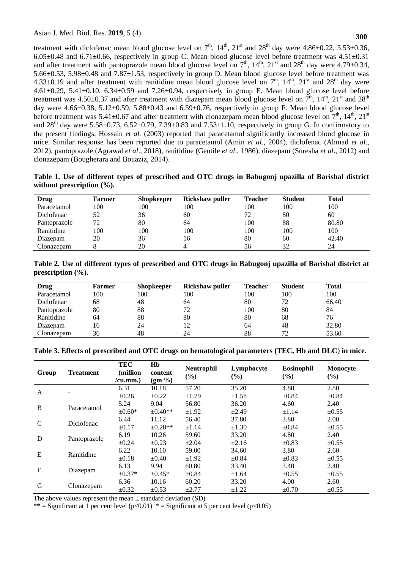treatment with diclofenac mean blood glucose level on  $7<sup>th</sup>$ ,  $14<sup>th</sup>$ ,  $21<sup>st</sup>$  and  $28<sup>th</sup>$  day were 4.86 $\pm$ 0.22, 5.53 $\pm$ 0.36,  $6.05\pm0.48$  and  $6.71\pm0.66$ , respectively in group C. Mean blood glucose level before treatment was  $4.51\pm0.31$ and after treatment with pantoprazole mean blood glucose level on  $7<sup>th</sup>$ ,  $14<sup>th</sup>$ ,  $21<sup>st</sup>$  and  $28<sup>th</sup>$  day were 4.79 $\pm$ 0.34, 5.66±0.53, 5.98±0.48 and 7.87±1.53, respectively in group D. Mean blood glucose level before treatment was 4.33 $\pm$ 0.19 and after treatment with ranitidine mean blood glucose level on  $7<sup>th</sup>$ ,  $14<sup>th</sup>$ ,  $21<sup>st</sup>$  and  $28<sup>th</sup>$  day were  $4.61\pm0.29$ ,  $5.41\pm0.10$ ,  $6.34\pm0.59$  and  $7.26\pm0.94$ , respectively in group E. Mean blood glucose level before treatment was 4.50 $\pm$ 0.37 and after treatment with diazepam mean blood glucose level on  $7<sup>th</sup>$ ,  $14<sup>th</sup>$ ,  $21<sup>st</sup>$  and  $28<sup>th</sup>$ day were  $4.66\pm0.38$ ,  $5.12\pm0.59$ ,  $5.88\pm0.43$  and  $6.59\pm0.76$ , respectively in group F. Mean blood glucose level before treatment was  $5.41\pm0.67$  and after treatment with clonazepam mean blood glucose level on  $7<sup>th</sup>$ ,  $14<sup>th</sup>$ ,  $21<sup>st</sup>$ and  $28<sup>th</sup>$  day were  $5.58\pm0.73$ ,  $6.52\pm0.79$ ,  $7.39\pm0.83$  and  $7.53\pm1.10$ , respectively in group G. In confirmatory to the present findings, Hossain *et al.* (2003) reported that paracetamol significantly increased blood glucose in mice. Similar response has been reported due to paracetamol (Amin *et al*., 2004), diclofenac (Ahmad *et al*., 2012), pantoprazole (Agrawal *et al*., 2018), ranitidine (Gentile *et al*., 1986), diazepam (Suresha *et al*., 2012) and clonazepam (Bougherara and Bouaziz, 2014).

| Table 1. Use of different types of prescribed and OTC drugs in Babugonj upazilla of Barishal district |  |  |  |  |
|-------------------------------------------------------------------------------------------------------|--|--|--|--|
| without prescription $(\%).$                                                                          |  |  |  |  |

| <b>Drug</b>  | <b>Farmer</b> | <b>Shopkeeper</b> | Rickshaw puller | <b>Teacher</b> | <b>Student</b> | Total |
|--------------|---------------|-------------------|-----------------|----------------|----------------|-------|
| Paracetamol  | 100           | 100               | 100             | 100            | 100            | 100   |
| Diclofenac   | 52            | 36                | 60              | 72             | 80             | 60    |
| Pantoprazole | 72            | 80                | 64              | 100            | 88             | 80.80 |
| Ranitidine   | 100           | 100               | 100             | 100            | 100            | 100   |
| Diazepam     | 20            | 36                | 16              | 80             | 60             | 42.40 |
| Clonazepam   |               | 20                |                 | 56             | 32             | 24    |

**Table 2. Use of different types of prescribed and OTC drugs in Babugonj upazilla of Barishal district at prescription (%).**

| Drug         | Farmer | <b>Shopkeeper</b> | Rickshaw puller | <b>Teacher</b> | <b>Student</b> | <b>Total</b> |
|--------------|--------|-------------------|-----------------|----------------|----------------|--------------|
| Paracetamol  | 100    | 100               | 100             | 100            | 100            | 100          |
| Diclofenac   | 68     | 48                | 64              | 80             | 72             | 66.40        |
| Pantoprazole | 80     | 88                | 72              | 100            | 80             | 84           |
| Ranitidine   | 64     | 88                | 80              | 80             | 68             | 76           |
| Diazepam     | 16     | 24                | 12              | 64             | 48             | 32.80        |
| Clonazepam   | 36     | 48                | 24              | 88             | 72             | 53.60        |

|  |  | Table 3. Effects of prescribed and OTC drugs on hematological parameters (TEC, Hb and DLC) in mice. |
|--|--|-----------------------------------------------------------------------------------------------------|
|--|--|-----------------------------------------------------------------------------------------------------|

| Group       | <b>Treatment</b> | <b>TEC</b><br>(million)<br>/cu.mm. | Hb<br>content<br>$(gm \% )$ | <b>Neutrophil</b><br>(%) | Lymphocyte<br>(%) | <b>Eosinophil</b><br>$(\%)$ | <b>Monocyte</b><br>$(\%)$ |
|-------------|------------------|------------------------------------|-----------------------------|--------------------------|-------------------|-----------------------------|---------------------------|
|             |                  | 6.31                               | 10.18                       | 57.20                    | 35.20             | 4.80                        | 2.80                      |
| A           |                  | $\pm 0.26$                         | $\pm 0.22$                  | $\pm 1.79$               | $\pm 1.58$        | $\pm 0.84$                  | $\pm 0.84$                |
| B           | Paracetamol      | 5.24                               | 9.04                        | 56.80                    | 36.20             | 4.60                        | 2.40                      |
|             |                  | $\pm 0.60*$                        | $\pm 0.40**$                | $\pm 1.92$               | $\pm 2.49$        | $\pm 1.14$                  | $\pm 0.55$                |
| C           | Diclofenac       | 6.44                               | 11.12                       | 56.40                    | 37.80             | 3.80                        | 2.00                      |
|             |                  | $\pm 0.17$                         | $\pm 0.28**$                | $\pm 1.14$               | $\pm 1.30$        | $\pm 0.84$                  | $\pm 0.55$                |
| D           | Pantoprazole     | 6.19                               | 10.26                       | 59.60                    | 33.20             | 4.80                        | 2.40                      |
|             |                  | $\pm 0.24$                         | $\pm 0.23$                  | $\pm 2.04$               | $\pm 2.16$        | $\pm 0.83$                  | $\pm 0.55$                |
| E           | Ranitidine       | 6.22                               | 10.10                       | 59.00                    | 34.60             | 3.80                        | 2.60                      |
|             |                  | $\pm 0.18$                         | $\pm 0.40$                  | $\pm 1.92$               | $\pm 0.84$        | $\pm 0.83$                  | $\pm 0.55$                |
| $\mathbf F$ | Diazepam         | 6.13                               | 9.94                        | 60.80                    | 33.40             | 3.40                        | 2.40                      |
|             |                  | $\pm 0.37*$                        | $\pm 0.45*$                 | $\pm 0.84$               | $\pm 1.64$        | $\pm 0.55$                  | $\pm 0.55$                |
| G           |                  | 6.36                               | 10.16                       | 60.20                    | 33.20             | 4.00                        | 2.60                      |
|             | Clonazepam       | $\pm 0.32$                         | $\pm 0.53$                  | ±2.77                    | $\pm 1.22$        | $\pm 0.70$                  | $\pm 0.55$                |

The above values represent the mean  $\pm$  standard deviation (SD)

\*\* = Significant at 1 per cent level  $(p<0.01)$  \* = Significant at 5 per cent level  $(p<0.05)$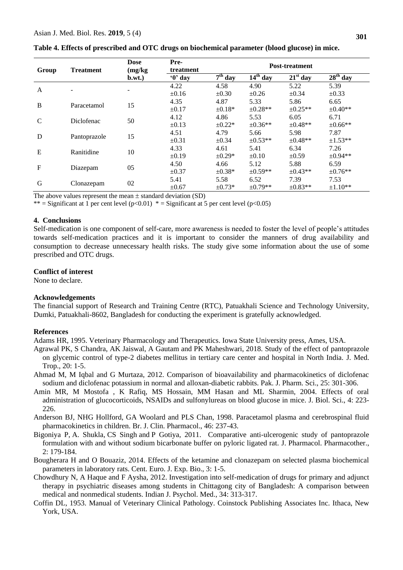| Group        | <b>Treatment</b> | <b>Dose</b><br>(mg/kg) | Pre-<br>treatment         | <b>Post-treatment</b> |              |              |               |  |
|--------------|------------------|------------------------|---------------------------|-----------------------|--------------|--------------|---------------|--|
|              |                  | b.wt.                  | $\mathbf{0}^{\prime}$ day | $7th$ day             | $14th$ day   | $21st$ day   | $28th$ day    |  |
| A            |                  |                        | 4.22                      | 4.58                  | 4.90         | 5.22         | 5.39          |  |
|              |                  |                        | $\pm 0.16$                | $\pm 0.30$            | $\pm 0.26$   | $\pm 0.34$   | $\pm 0.33$    |  |
| B            | Paracetamol      | 15                     | 4.35                      | 4.87                  | 5.33         | 5.86         | 6.65          |  |
|              |                  |                        | $\pm 0.17$                | $\pm 0.18*$           | $\pm 0.28**$ | $\pm 0.25**$ | $\pm 0.40**$  |  |
| C            | Diclofenac       | 50                     | 4.12                      | 4.86                  | 5.53         | 6.05         | 6.71          |  |
|              |                  |                        | $\pm 0.13$                | $\pm 0.22*$           | $\pm 0.36**$ | $\pm 0.48**$ | $\pm 0.66$ ** |  |
| D            |                  | 15                     | 4.51                      | 4.79                  | 5.66         | 5.98         | 7.87          |  |
|              | Pantoprazole     |                        | $\pm 0.31$                | $\pm 0.34$            | $\pm 0.53**$ | $\pm 0.48**$ | $\pm 1.53$ ** |  |
| E            | Ranitidine       | 10                     | 4.33                      | 4.61                  | 5.41         | 6.34         | 7.26          |  |
|              |                  |                        | $\pm 0.19$                | $\pm 0.29*$           | $\pm 0.10$   | $\pm 0.59$   | $\pm 0.94**$  |  |
| $\mathbf{F}$ |                  | 05                     | 4.50                      | 4.66                  | 5.12         | 5.88         | 6.59          |  |
|              | Diazepam         |                        | $\pm 0.37$                | $\pm 0.38*$           | $\pm 0.59**$ | $\pm 0.43**$ | $\pm 0.76$ ** |  |
| G            |                  | 02                     | 5.41                      | 5.58                  | 6.52         | 7.39         | 7.53          |  |
|              | Clonazepam       |                        | $\pm 0.67$                | $±0.73*$              | $±0.79**$    | $\pm 0.83**$ | $\pm 1.10**$  |  |

### **Table 4. Effects of prescribed and OTC drugs on biochemical parameter (blood glucose) in mice.**

The above values represent the mean  $\pm$  standard deviation (SD)

\*\* = Significant at 1 per cent level  $(p<0.01)$  \* = Significant at 5 per cent level  $(p<0.05)$ 

#### **4. Conclusions**

Self-medication is one component of self-care, more awareness is needed to foster the level of people's attitudes towards self-medication practices and it is important to consider the manners of drug availability and consumption to decrease unnecessary health risks. The study give some information about the use of some prescribed and OTC drugs.

# **Conflict of interest**

None to declare.

#### **Acknowledgements**

The financial support of Research and Training Centre (RTC), Patuakhali Science and Technology University, Dumki, Patuakhali-8602, Bangladesh for conducting the experiment is gratefully acknowledged.

#### **References**

Adams HR, 1995. Veterinary Pharmacology and Therapeutics. Iowa State University press, Ames, USA.

- Agrawal PK, S Chandra, AK Jaiswal, A Gautam and PK Maheshwari, 2018. Study of the effect of pantoprazole on glycemic control of type-2 diabetes mellitus in tertiary care center and hospital in North India. J. Med. Trop., 20: 1-5.
- Ahmad M, M Iqbal and G Murtaza, 2012. Comparison of bioavailability and pharmacokinetics of diclofenac sodium and diclofenac potassium in normal and alloxan-diabetic rabbits. Pak. J. Pharm. Sci., 25: 301-306.
- Amin MR, M Mostofa , K Rafiq, MS Hossain, MM Hasan and ML Sharmin, 2004. Effects of oral administration of glucocorticoids, NSAIDs and sulfonylureas on blood glucose in mice. J. Biol. Sci., 4: 223- 226.
- Anderson BJ, NHG Hollford, GA Woolard and PLS Chan, 1998. Paracetamol plasma and cerebrospinal fluid pharmacokinetics in children. Br. J. Clin. Pharmacol., 46: 237-43.
- Bigoniya [P,](https://www.ncbi.nlm.nih.gov/pubmed/?term=Bigoniya%20P%5BAuthor%5D&cauthor=true&cauthor_uid=21897712) [A. Shukla,](https://www.ncbi.nlm.nih.gov/pubmed/?term=Shukla%20A%5BAuthor%5D&cauthor=true&cauthor_uid=21897712) [CS Singh](https://www.ncbi.nlm.nih.gov/pubmed/?term=Singh%20CS%5BAuthor%5D&cauthor=true&cauthor_uid=21897712) and [P Gotiya,](https://www.ncbi.nlm.nih.gov/pubmed/?term=Gotiya%20P%5BAuthor%5D&cauthor=true&cauthor_uid=21897712) 2011. Comparative anti-ulcerogenic study of pantoprazole formulation with and without sodium bicarbonate buffer on pyloric ligated rat. [J. Pharmacol. Pharmacother.](https://www.ncbi.nlm.nih.gov/pmc/articles/PMC3157128/), 2: 179-184.
- Bougherara H and O Bouaziz, 2014. Effects of the ketamine and clonazepam on selected plasma biochemical parameters in laboratory rats. Cent. Euro. J. Exp. Bio., 3: 1-5.
- Chowdhury N, A Haque and F Aysha, 2012. Investigation into self-medication of drugs for primary and adjunct therapy in psychiatric diseases among students in Chittagong city of Bangladesh: A comparison between medical and nonmedical students. [Indian J. Psychol. Med.](https://www.ncbi.nlm.nih.gov/pmc/articles/PMC3662126/), 34: 313-317.
- Coffin DL, 1953. Manual of Veterinary Clinical Pathology. Coinstock Publishing Associates Inc. Ithaca, New York, USA.